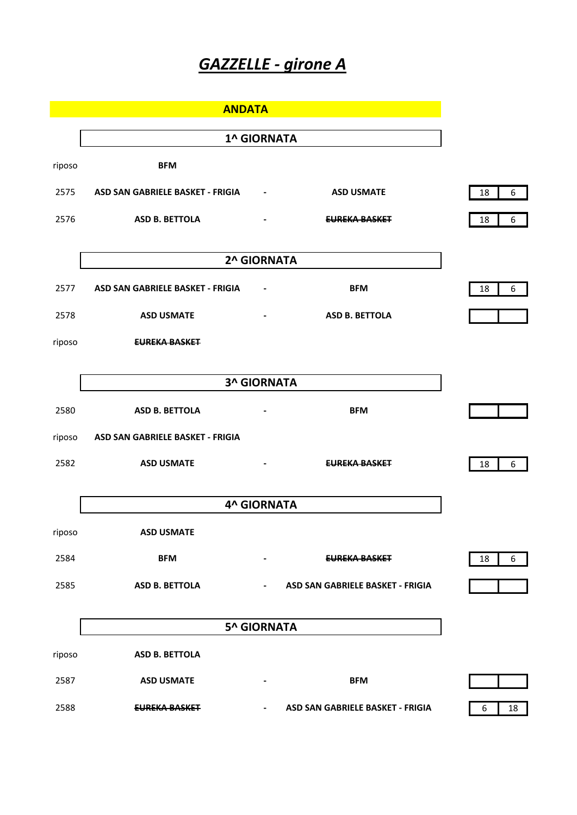## *GAZZELLE - girone A*

|        | <b>ANDATA</b>                    |                              |                                  |  |  |  |  |  |
|--------|----------------------------------|------------------------------|----------------------------------|--|--|--|--|--|
|        | <b>1^ GIORNATA</b>               |                              |                                  |  |  |  |  |  |
| riposo | <b>BFM</b>                       |                              |                                  |  |  |  |  |  |
| 2575   | ASD SAN GABRIELE BASKET - FRIGIA | $\overline{\phantom{a}}$     | <b>ASD USMATE</b>                |  |  |  |  |  |
| 2576   | <b>ASD B. BETTOLA</b>            | $\qquad \qquad \blacksquare$ | EUREKA BASKET                    |  |  |  |  |  |
|        |                                  |                              |                                  |  |  |  |  |  |
|        |                                  | 2^ GIORNATA                  |                                  |  |  |  |  |  |
| 2577   | ASD SAN GABRIELE BASKET - FRIGIA | $\qquad \qquad \blacksquare$ | <b>BFM</b>                       |  |  |  |  |  |
| 2578   | <b>ASD USMATE</b>                | $\overline{\phantom{a}}$     | <b>ASD B. BETTOLA</b>            |  |  |  |  |  |
| riposo | <b>EUREKA BASKET</b>             |                              |                                  |  |  |  |  |  |
|        | <b>3^ GIORNATA</b>               |                              |                                  |  |  |  |  |  |
|        |                                  |                              |                                  |  |  |  |  |  |
| 2580   | <b>ASD B. BETTOLA</b>            | $\qquad \qquad \blacksquare$ | <b>BFM</b>                       |  |  |  |  |  |
| riposo | ASD SAN GABRIELE BASKET - FRIGIA |                              |                                  |  |  |  |  |  |
| 2582   | <b>ASD USMATE</b>                | $\blacksquare$               | EUREKA BASKET                    |  |  |  |  |  |
|        | <b>4^ GIORNATA</b>               |                              |                                  |  |  |  |  |  |
|        |                                  |                              |                                  |  |  |  |  |  |
| riposo | <b>ASD USMATE</b>                |                              |                                  |  |  |  |  |  |
| 2584   | <b>BFM</b>                       | -                            | <b>EUREKA BASKET</b>             |  |  |  |  |  |
| 2585   | ASD B. BETTOLA                   | $\qquad \qquad \blacksquare$ | ASD SAN GABRIELE BASKET - FRIGIA |  |  |  |  |  |
|        | <b>5^ GIORNATA</b>               |                              |                                  |  |  |  |  |  |
|        |                                  |                              |                                  |  |  |  |  |  |
| riposo | <b>ASD B. BETTOLA</b>            |                              |                                  |  |  |  |  |  |
| 2587   | <b>ASD USMATE</b>                | $\overline{\phantom{a}}$     | <b>BFM</b>                       |  |  |  |  |  |
| 2588   | <b>EUREKA BASKET</b>             | $\blacksquare$               | ASD SAN GABRIELE BASKET - FRIGIA |  |  |  |  |  |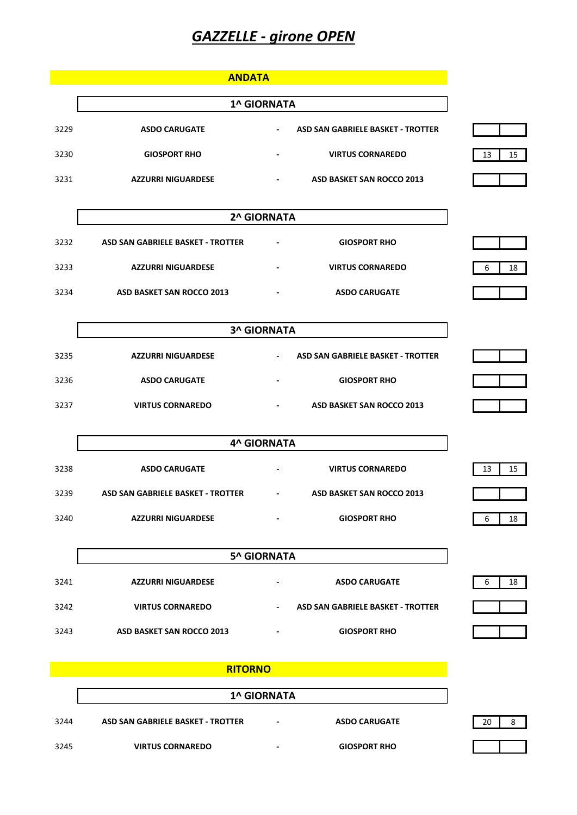## *GAZZELLE - girone OPEN*

|      | <b>ANDATA</b>                     |                              |                                   |  |  |  |
|------|-----------------------------------|------------------------------|-----------------------------------|--|--|--|
|      | <b>1^ GIORNATA</b>                |                              |                                   |  |  |  |
| 3229 | <b>ASDO CARUGATE</b>              | $\blacksquare$               | ASD SAN GABRIELE BASKET - TROTTER |  |  |  |
| 3230 | <b>GIOSPORT RHO</b>               | $\blacksquare$               | <b>VIRTUS CORNAREDO</b>           |  |  |  |
| 3231 | <b>AZZURRI NIGUARDESE</b>         | $\blacksquare$               | ASD BASKET SAN ROCCO 2013         |  |  |  |
|      |                                   | 2^ GIORNATA                  |                                   |  |  |  |
| 3232 | ASD SAN GABRIELE BASKET - TROTTER |                              | <b>GIOSPORT RHO</b>               |  |  |  |
|      |                                   | $\qquad \qquad \blacksquare$ |                                   |  |  |  |
| 3233 | <b>AZZURRI NIGUARDESE</b>         | $\qquad \qquad \blacksquare$ | <b>VIRTUS CORNAREDO</b>           |  |  |  |
| 3234 | ASD BASKET SAN ROCCO 2013         |                              | <b>ASDO CARUGATE</b>              |  |  |  |
|      |                                   |                              |                                   |  |  |  |

|      | 3 <sup>h</sup> GIORNATA   |                                                               |  |  |  |  |
|------|---------------------------|---------------------------------------------------------------|--|--|--|--|
| 3235 | <b>AZZURRI NIGUARDESE</b> | ASD SAN GABRIELE BASKET - TROTTER<br>$\overline{\phantom{0}}$ |  |  |  |  |
| 3236 | <b>ASDO CARUGATE</b>      | <b>GIOSPORT RHO</b><br>$\blacksquare$                         |  |  |  |  |
| 3237 | <b>VIRTUS CORNAREDO</b>   | ASD BASKET SAN ROCCO 2013<br>٠                                |  |  |  |  |

 $\mathsf{I}$ 

**3^ GIORNATA**

|      | <b>4^ GIORNATA</b>                |                          |                           |          |  |
|------|-----------------------------------|--------------------------|---------------------------|----------|--|
| 3238 | <b>ASDO CARUGATE</b>              |                          | <b>VIRTUS CORNAREDO</b>   | 13<br>15 |  |
| 3239 | ASD SAN GABRIELE BASKET - TROTTER | $\overline{\phantom{a}}$ | ASD BASKET SAN ROCCO 2013 |          |  |
| 3240 | <b>AZZURRI NIGUARDESE</b>         | $\overline{\phantom{0}}$ | <b>GIOSPORT RHO</b>       | 18<br>6  |  |

|      | <b>5^ GIORNATA</b>        |                                                               |         |  |  |
|------|---------------------------|---------------------------------------------------------------|---------|--|--|
| 3241 | <b>AZZURRI NIGUARDESE</b> | <b>ASDO CARUGATE</b><br>$\overline{\phantom{0}}$              | 18<br>6 |  |  |
| 3242 | <b>VIRTUS CORNAREDO</b>   | ASD SAN GABRIELE BASKET - TROTTER<br>$\overline{\phantom{0}}$ |         |  |  |
| 3243 | ASD BASKET SAN ROCCO 2013 | <b>GIOSPORT RHO</b><br>$\blacksquare$                         |         |  |  |

|      | <b>RITORNO</b>                    |                    |                      |    |
|------|-----------------------------------|--------------------|----------------------|----|
|      |                                   | <b>1^ GIORNATA</b> |                      |    |
| 3244 | ASD SAN GABRIELE BASKET - TROTTER | -                  | <b>ASDO CARUGATE</b> | 20 |
| 3245 | <b>VIRTUS CORNAREDO</b>           | -                  | <b>GIOSPORT RHO</b>  |    |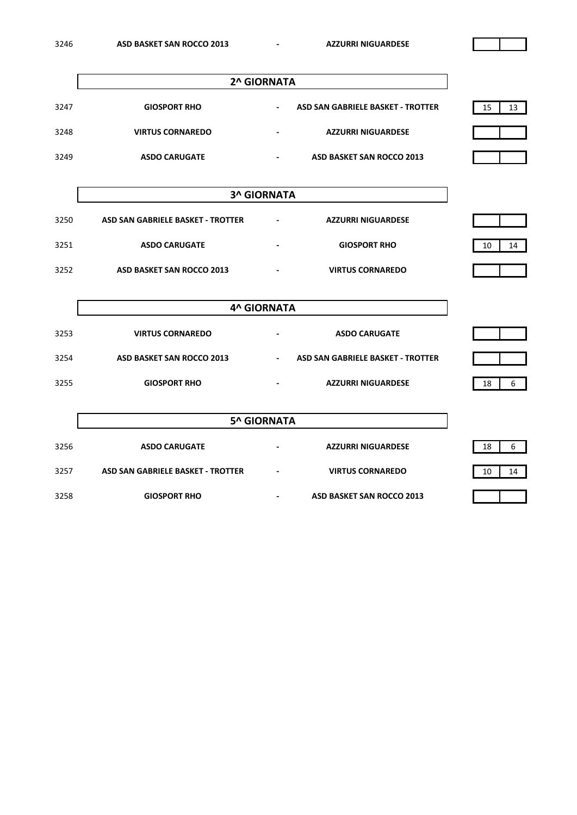|      | 2^ GIORNATA             |                                                               |          |  |
|------|-------------------------|---------------------------------------------------------------|----------|--|
| 3247 | <b>GIOSPORT RHO</b>     | ASD SAN GABRIELE BASKET - TROTTER<br>$\overline{\phantom{0}}$ | 15<br>13 |  |
| 3248 | <b>VIRTUS CORNAREDO</b> | <b>AZZURRI NIGUARDESE</b>                                     |          |  |
| 3249 | <b>ASDO CARUGATE</b>    | ASD BASKET SAN ROCCO 2013<br>$\overline{\phantom{0}}$         |          |  |

|      | <b>3^ GIORNATA</b>                |                          |                           |          |  |
|------|-----------------------------------|--------------------------|---------------------------|----------|--|
| 3250 | ASD SAN GABRIELE BASKET - TROTTER |                          | <b>AZZURRI NIGUARDESE</b> |          |  |
| 3251 | <b>ASDO CARUGATE</b>              | $\overline{\phantom{0}}$ | <b>GIOSPORT RHO</b>       | 10<br>14 |  |
| 3252 | ASD BASKET SAN ROCCO 2013         | $\overline{\phantom{0}}$ | <b>VIRTUS CORNAREDO</b>   |          |  |

|      | <b>4^ GIORNATA</b>        |                          |                                   |    |  |  |
|------|---------------------------|--------------------------|-----------------------------------|----|--|--|
| 3253 | <b>VIRTUS CORNAREDO</b>   | $\overline{\phantom{0}}$ | <b>ASDO CARUGATE</b>              |    |  |  |
| 3254 | ASD BASKET SAN ROCCO 2013 | $\overline{\phantom{a}}$ | ASD SAN GABRIELE BASKET - TROTTER |    |  |  |
| 3255 | <b>GIOSPORT RHO</b>       |                          | <b>AZZURRI NIGUARDESE</b>         | 18 |  |  |

|      | <b>5^ GIORNATA</b>                |                          |                           |          |  |
|------|-----------------------------------|--------------------------|---------------------------|----------|--|
| 3256 | <b>ASDO CARUGATE</b>              | $\overline{\phantom{0}}$ | <b>AZZURRI NIGUARDESE</b> | 6<br>18  |  |
| 3257 | ASD SAN GABRIELE BASKET - TROTTER |                          | <b>VIRTUS CORNAREDO</b>   | 10<br>14 |  |
| 3258 | <b>GIOSPORT RHO</b>               | ٠                        | ASD BASKET SAN ROCCO 2013 |          |  |

 $\overline{\mathbf{1}}$ 

 $\mathbf{r}$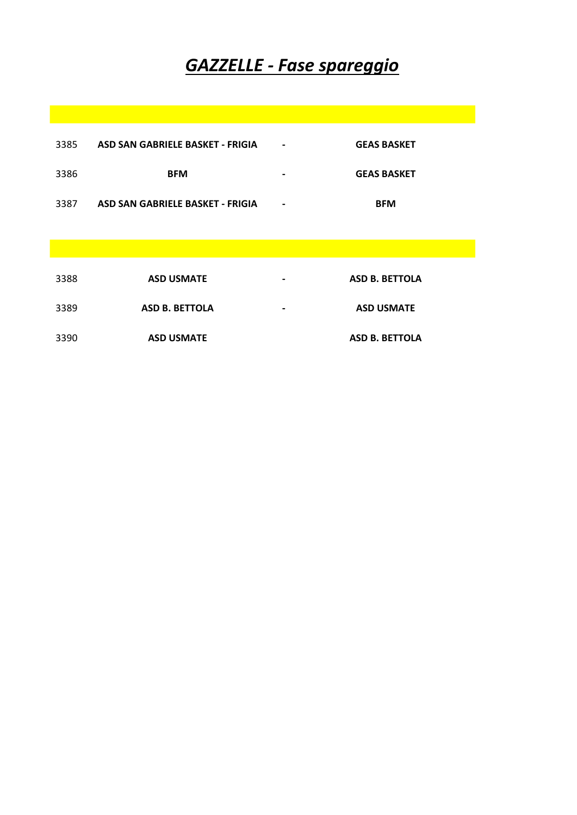## *GAZZELLE - Fase spareggio*

| 3385 | ASD SAN GABRIELE BASKET - FRIGIA | $\overline{\phantom{0}}$ | <b>GEAS BASKET</b>    |
|------|----------------------------------|--------------------------|-----------------------|
| 3386 | <b>BFM</b>                       | $\overline{\phantom{0}}$ | <b>GEAS BASKET</b>    |
| 3387 | ASD SAN GABRIELE BASKET - FRIGIA | $\overline{\phantom{a}}$ | <b>BFM</b>            |
|      |                                  |                          |                       |
| 3388 | <b>ASD USMATE</b>                | $\blacksquare$           | <b>ASD B. BETTOLA</b> |

**ASD B. BETTOLA - ASD USMATE**

**ASD USMATE ASD B. BETTOLA**